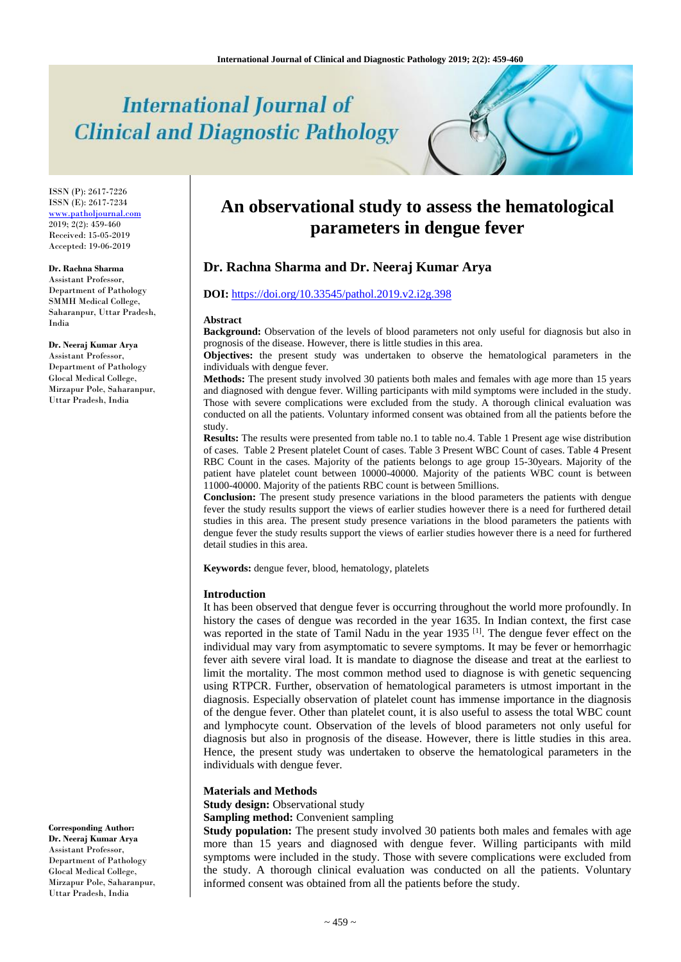# **International Journal of Clinical and Diagnostic Pathology**

ISSN (P): 2617-7226 ISSN (E): 2617-7234 <www.patholjournal.com>  $2019:2(2):459-460$ Received: 15-05-2019 Accepted: 19-06-2019

#### **Dr. Rachna Sharma**

Assistant Professor, Department of Pathology SMMH Medical College, Saharanpur, Uttar Pradesh, India

#### **Dr. Neeraj Kumar Arya**

Assistant Professor, Department of Pathology Glocal Medical College, Mirzapur Pole, Saharanpur, Uttar Pradesh, India

**Corresponding Author: Dr. Neeraj Kumar Arya** Assistant Professor, Department of Pathology Glocal Medical College, Mirzapur Pole, Saharanpur, Uttar Pradesh, India

# **An observational study to assess the hematological parameters in dengue fever**

### **Dr. Rachna Sharma and Dr. Neeraj Kumar Arya**

#### **DOI:** <https://doi.org/10.33545/pathol.2019.v2.i2g.398>

#### **Abstract**

**Background:** Observation of the levels of blood parameters not only useful for diagnosis but also in prognosis of the disease. However, there is little studies in this area.

**Objectives:** the present study was undertaken to observe the hematological parameters in the individuals with dengue fever.

**Methods:** The present study involved 30 patients both males and females with age more than 15 years and diagnosed with dengue fever. Willing participants with mild symptoms were included in the study. Those with severe complications were excluded from the study. A thorough clinical evaluation was conducted on all the patients. Voluntary informed consent was obtained from all the patients before the study.

**Results:** The results were presented from table no.1 to table no.4. Table 1 Present age wise distribution of cases. Table 2 Present platelet Count of cases. Table 3 Present WBC Count of cases. Table 4 Present RBC Count in the cases. Majority of the patients belongs to age group 15-30years. Majority of the patient have platelet count between 10000-40000. Majority of the patients WBC count is between 11000-40000. Majority of the patients RBC count is between 5millions.

**Conclusion:** The present study presence variations in the blood parameters the patients with dengue fever the study results support the views of earlier studies however there is a need for furthered detail studies in this area. The present study presence variations in the blood parameters the patients with dengue fever the study results support the views of earlier studies however there is a need for furthered detail studies in this area.

**Keywords:** dengue fever, blood, hematology, platelets

#### **Introduction**

It has been observed that dengue fever is occurring throughout the world more profoundly. In history the cases of dengue was recorded in the year 1635. In Indian context, the first case was reported in the state of Tamil Nadu in the year 1935<sup>[1]</sup>. The dengue fever effect on the individual may vary from asymptomatic to severe symptoms. It may be fever or hemorrhagic fever aith severe viral load. It is mandate to diagnose the disease and treat at the earliest to limit the mortality. The most common method used to diagnose is with genetic sequencing using RTPCR. Further, observation of hematological parameters is utmost important in the diagnosis. Especially observation of platelet count has immense importance in the diagnosis of the dengue fever. Other than platelet count, it is also useful to assess the total WBC count and lymphocyte count. Observation of the levels of blood parameters not only useful for diagnosis but also in prognosis of the disease. However, there is little studies in this area. Hence, the present study was undertaken to observe the hematological parameters in the individuals with dengue fever.

#### **Materials and Methods**

**Study design:** Observational study

**Sampling method:** Convenient sampling

**Study population:** The present study involved 30 patients both males and females with age more than 15 years and diagnosed with dengue fever. Willing participants with mild symptoms were included in the study. Those with severe complications were excluded from the study. A thorough clinical evaluation was conducted on all the patients. Voluntary informed consent was obtained from all the patients before the study.